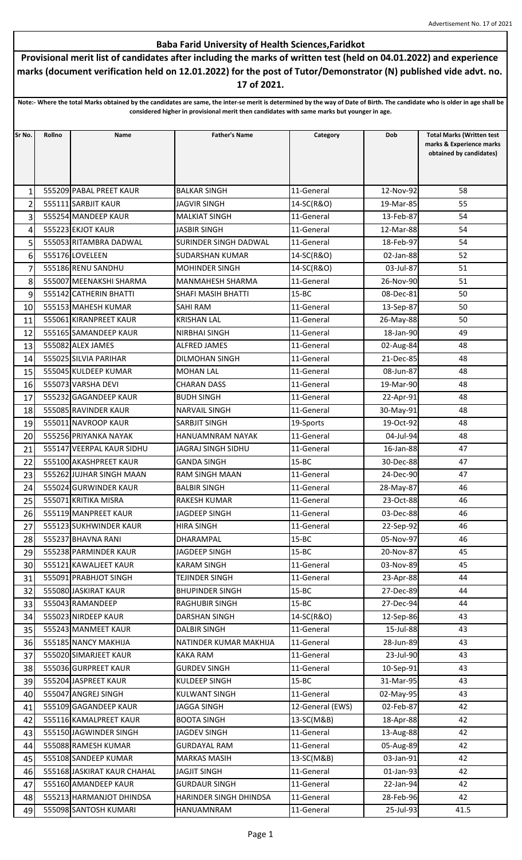## Baba Farid University of Health Sciences,Faridkot

Provisional merit list of candidates after including the marks of written test (held on 04.01.2022) and experience marks (document verification held on 12.01.2022) for the post of Tutor/Demonstrator (N) published vide advt. no. 17 of 2021.

Note:- Where the total Marks obtained by the candidates are same, the inter-se merit is determined by the way of Date of Birth. The candidate who is older in age shall be considered higher in provisional merit then candidates with same marks but younger in age.

| Sr No.         | Rollno | Name                        | <b>Father's Name</b>    | Category         | Dob       | <b>Total Marks (Written test</b>                    |
|----------------|--------|-----------------------------|-------------------------|------------------|-----------|-----------------------------------------------------|
|                |        |                             |                         |                  |           | marks & Experience marks<br>obtained by candidates) |
|                |        |                             |                         |                  |           |                                                     |
|                |        |                             |                         |                  |           |                                                     |
| 1              |        | 555209 PABAL PREET KAUR     | <b>BALKAR SINGH</b>     | 11-General       | 12-Nov-92 | 58                                                  |
| $\overline{2}$ |        | 555111 SARBJIT KAUR         | <b>JAGVIR SINGH</b>     | 14-SC(R&O)       | 19-Mar-85 | 55                                                  |
| 3              |        | 555254 MANDEEP KAUR         | <b>MALKIAT SINGH</b>    | 11-General       | 13-Feb-87 | 54                                                  |
| 4              |        | 555223 EKJOT KAUR           | <b>JASBIR SINGH</b>     | 11-General       | 12-Mar-88 | 54                                                  |
| 5              |        | 555053 RITAMBRA DADWAL      | SURINDER SINGH DADWAL   | 11-General       | 18-Feb-97 | 54                                                  |
| 6              |        | 555176 LOVELEEN             | <b>SUDARSHAN KUMAR</b>  | 14-SC(R&O)       | 02-Jan-88 | 52                                                  |
| $\overline{7}$ |        | 555186 RENU SANDHU          | <b>MOHINDER SINGH</b>   | 14-SC(R&O)       | 03-Jul-87 | 51                                                  |
| 8              |        | 555007 MEENAKSHI SHARMA     | <b>MANMAHESH SHARMA</b> | 11-General       | 26-Nov-90 | 51                                                  |
| 9              |        | 555142 CATHERIN BHATTI      | SHAFI MASIH BHATTI      | $15 - BC$        | 08-Dec-81 | 50                                                  |
| 10             |        | 555153 MAHESH KUMAR         | SAHI RAM                | 11-General       | 13-Sep-87 | 50                                                  |
| 11             |        | 555061 KIRANPREET KAUR      | <b>KRISHAN LAL</b>      | 11-General       | 26-May-88 | 50                                                  |
| 12             |        | 555165 SAMANDEEP KAUR       | <b>NIRBHAI SINGH</b>    | 11-General       | 18-Jan-90 | 49                                                  |
| 13             |        | 555082 ALEX JAMES           | <b>ALFRED JAMES</b>     | 11-General       | 02-Aug-84 | 48                                                  |
| 14             |        | 555025 SILVIA PARIHAR       | <b>DILMOHAN SINGH</b>   | 11-General       | 21-Dec-85 | 48                                                  |
| 15             |        | 555045 KULDEEP KUMAR        | <b>MOHAN LAL</b>        | 11-General       | 08-Jun-87 | 48                                                  |
| 16             |        | 555073 VARSHA DEVI          | <b>CHARAN DASS</b>      | 11-General       | 19-Mar-90 | 48                                                  |
| 17             |        | 555232 GAGANDEEP KAUR       | <b>BUDH SINGH</b>       | 11-General       | 22-Apr-91 | 48                                                  |
| 18             |        | 555085 RAVINDER KAUR        | <b>NARVAIL SINGH</b>    | 11-General       | 30-May-91 | 48                                                  |
| 19             |        | 555011 NAVROOP KAUR         | <b>SARBJIT SINGH</b>    | 19-Sports        | 19-Oct-92 | 48                                                  |
| 20             |        | 555256 PRIYANKA NAYAK       | <b>HANUAMNRAM NAYAK</b> | 11-General       | 04-Jul-94 | 48                                                  |
| 21             |        | 555147 VEERPAL KAUR SIDHU   | JAGRAJ SINGH SIDHU      | 11-General       | 16-Jan-88 | 47                                                  |
| 22             |        | 555100 AKASHPREET KAUR      | <b>GANDA SINGH</b>      | $15 - BC$        | 30-Dec-88 | 47                                                  |
| 23             |        | 555262 JUJHAR SINGH MAAN    | RAM SINGH MAAN          | 11-General       | 24-Dec-90 | 47                                                  |
| 24             |        | 555024 GURWINDER KAUR       | <b>BALBIR SINGH</b>     | 11-General       | 28-May-87 | 46                                                  |
| 25             |        | 555071 KRITIKA MISRA        | <b>RAKESH KUMAR</b>     | 11-General       | 23-Oct-88 | 46                                                  |
| 26             |        | 555119 MANPREET KAUR        | <b>JAGDEEP SINGH</b>    | 11-General       | 03-Dec-88 | 46                                                  |
| 27             |        | 555123 SUKHWINDER KAUR      | <b>HIRA SINGH</b>       | 11-General       | 22-Sep-92 | 46                                                  |
| 28             |        | 555237 BHAVNA RANI          | DHARAMPAL               | $15 - BC$        | 05-Nov-97 | 46                                                  |
| 29             |        | 555238 PARMINDER KAUR       | <b>JAGDEEP SINGH</b>    | $15 - BC$        | 20-Nov-87 | 45                                                  |
| 30             |        | 555121 KAWALJEET KAUR       | <b>KARAM SINGH</b>      | 11-General       | 03-Nov-89 | 45                                                  |
| 31             |        | 555091 PRABHJOT SINGH       | <b>TEJINDER SINGH</b>   | 11-General       | 23-Apr-88 | 44                                                  |
| 32             |        | 555080 JASKIRAT KAUR        | <b>BHUPINDER SINGH</b>  | $15 - BC$        | 27-Dec-89 | 44                                                  |
| 33             |        | 555043 RAMANDEEP            | <b>RAGHUBIR SINGH</b>   | $15 - BC$        | 27-Dec-94 | 44                                                  |
| 34             |        | 555023 NIRDEEP KAUR         | <b>DARSHAN SINGH</b>    | 14-SC(R&O)       | 12-Sep-86 | 43                                                  |
| 35             |        | 555243 MANMEET KAUR         | <b>DALBIR SINGH</b>     | 11-General       | 15-Jul-88 | 43                                                  |
| 36             |        | 555185 NANCY MAKHIJA        | NATINDER KUMAR MAKHIJA  | 11-General       | 28-Jun-89 | 43                                                  |
| 37             |        | 555020 SIMARJEET KAUR       | KAKA RAM                | 11-General       | 23-Jul-90 | 43                                                  |
| 38             |        | 555036 GURPREET KAUR        | <b>GURDEV SINGH</b>     | 11-General       | 10-Sep-91 | 43                                                  |
| 39             |        | 555204 JASPREET KAUR        | <b>KULDEEP SINGH</b>    | $15 - BC$        | 31-Mar-95 | 43                                                  |
| 40             |        | 555047 ANGREJ SINGH         | <b>KULWANT SINGH</b>    | 11-General       | 02-May-95 | 43                                                  |
| 41             |        | 555109 GAGANDEEP KAUR       | <b>JAGGA SINGH</b>      | 12-General (EWS) | 02-Feb-87 | 42                                                  |
| 42             |        | 555116 KAMALPREET KAUR      | <b>BOOTA SINGH</b>      | 13-SC(M&B)       | 18-Apr-88 | 42                                                  |
| 43             |        | 555150 JAGWINDER SINGH      | JAGDEV SINGH            | 11-General       | 13-Aug-88 | 42                                                  |
| 44             |        | 555088 RAMESH KUMAR         | <b>GURDAYAL RAM</b>     | 11-General       | 05-Aug-89 | 42                                                  |
| 45             |        | 555108 SANDEEP KUMAR        | <b>MARKAS MASIH</b>     | 13-SC(M&B)       | 03-Jan-91 | 42                                                  |
| 46             |        | 555168 JASKIRAT KAUR CHAHAL | <b>JAGJIT SINGH</b>     | 11-General       | 01-Jan-93 | 42                                                  |
| 47             |        | 555160 AMANDEEP KAUR        | <b>GURDAUR SINGH</b>    | 11-General       | 22-Jan-94 | 42                                                  |
| 48             |        | 555213 HARMANJOT DHINDSA    | HARINDER SINGH DHINDSA  | 11-General       | 28-Feb-96 | 42                                                  |
| 49             |        | 555098 SANTOSH KUMARI       | HANUAMNRAM              | 11-General       | 25-Jul-93 | 41.5                                                |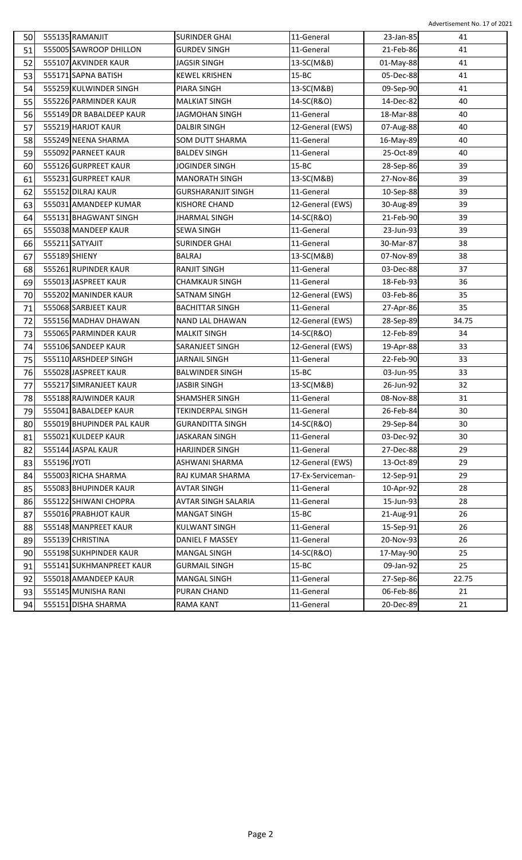| 50 | 555135 RAMANJIT           | <b>SURINDER GHAI</b>      | 11-General        | 23-Jan-85 | 41              |
|----|---------------------------|---------------------------|-------------------|-----------|-----------------|
| 51 | 555005 SAWROOP DHILLON    | <b>GURDEV SINGH</b>       | 11-General        | 21-Feb-86 | 41              |
| 52 | 555107 AKVINDER KAUR      | JAGSIR SINGH              | 13-SC(M&B)        | 01-May-88 | 41              |
| 53 | 555171 SAPNA BATISH       | <b>KEWEL KRISHEN</b>      | $15 - BC$         | 05-Dec-88 | 41              |
| 54 | 555259 KULWINDER SINGH    | PIARA SINGH               | 13-SC(M&B)        | 09-Sep-90 | 41              |
| 55 | 555226 PARMINDER KAUR     | <b>MALKIAT SINGH</b>      | 14-SC(R&O)        | 14-Dec-82 | 40              |
| 56 | 555149 DR BABALDEEP KAUR  | JAGMOHAN SINGH            | 11-General        | 18-Mar-88 | 40              |
| 57 | 555219 HARJOT KAUR        | <b>DALBIR SINGH</b>       | 12-General (EWS)  | 07-Aug-88 | 40              |
| 58 | 555249 NEENA SHARMA       | SOM DUTT SHARMA           | 11-General        | 16-May-89 | 40              |
| 59 | 555092 PARNEET KAUR       | <b>BALDEV SINGH</b>       | 11-General        | 25-Oct-89 | 40              |
| 60 | 555126 GURPREET KAUR      | JOGINDER SINGH            | $15 - BC$         | 28-Sep-86 | 39              |
| 61 | 555231 GURPREET KAUR      | <b>MANORATH SINGH</b>     | 13-SC(M&B)        | 27-Nov-86 | 39              |
| 62 | 555152 DILRAJ KAUR        | <b>GURSHARANJIT SINGH</b> | 11-General        | 10-Sep-88 | 39              |
| 63 | 555031 AMANDEEP KUMAR     | <b>KISHORE CHAND</b>      | 12-General (EWS)  | 30-Aug-89 | 39              |
| 64 | 555131 BHAGWANT SINGH     | <b>JHARMAL SINGH</b>      | 14-SC(R&O)        | 21-Feb-90 | 39              |
| 65 | 555038 MANDEEP KAUR       | <b>SEWA SINGH</b>         | 11-General        | 23-Jun-93 | 39              |
| 66 | 555211 SATYAJIT           | <b>SURINDER GHAI</b>      | 11-General        | 30-Mar-87 | 38              |
| 67 | 555189 SHIENY             | <b>BALRAJ</b>             | 13-SC(M&B)        | 07-Nov-89 | 38              |
| 68 | 555261 RUPINDER KAUR      | <b>RANJIT SINGH</b>       | 11-General        | 03-Dec-88 | 37              |
| 69 | 555013 JASPREET KAUR      | <b>CHAMKAUR SINGH</b>     | 11-General        | 18-Feb-93 | 36              |
| 70 | 555202 MANINDER KAUR      | SATNAM SINGH              | 12-General (EWS)  | 03-Feb-86 | 35              |
| 71 | 555068 SARBJEET KAUR      | <b>BACHITTAR SINGH</b>    | 11-General        | 27-Apr-86 | 35              |
| 72 | 555156 MADHAV DHAWAN      | NAND LAL DHAWAN           | 12-General (EWS)  | 28-Sep-89 | 34.75           |
| 73 | 555065 PARMINDER KAUR     | <b>MALKIT SINGH</b>       | 14-SC(R&O)        | 12-Feb-89 | 34              |
| 74 | 555106 SANDEEP KAUR       | <b>SARANJEET SINGH</b>    | 12-General (EWS)  | 19-Apr-88 | 33              |
| 75 | 555110 ARSHDEEP SINGH     | <b>JARNAIL SINGH</b>      | 11-General        | 22-Feb-90 | 33              |
| 76 | 555028 JASPREET KAUR      | <b>BALWINDER SINGH</b>    | $15 - BC$         | 03-Jun-95 | 33              |
| 77 | 555217 SIMRANJEET KAUR    | <b>JASBIR SINGH</b>       | 13-SC(M&B)        | 26-Jun-92 | 32              |
| 78 | 555188 RAJWINDER KAUR     | <b>SHAMSHER SINGH</b>     | 11-General        | 08-Nov-88 | 31              |
| 79 | 555041 BABALDEEP KAUR     | <b>TEKINDERPAL SINGH</b>  | $11-General$      | 26-Feb-84 | 30 <sup>°</sup> |
| 80 | 555019 BHUPINDER PAL KAUR | <b>GURANDITTA SINGH</b>   | 14-SC(R&O)        | 29-Sep-84 | 30              |
| 81 | 555021 KULDEEP KAUR       | JASKARAN SINGH            | 11-General        | 03-Dec-92 | 30              |
| 82 | 555144 JASPAL KAUR        | <b>HARJINDER SINGH</b>    | 11-General        | 27-Dec-88 | 29              |
| 83 | 555196 JYOTI              | ASHWANI SHARMA            | 12-General (EWS)  | 13-Oct-89 | 29              |
| 84 | 555003 RICHA SHARMA       | RAJ KUMAR SHARMA          | 17-Ex-Serviceman- | 12-Sep-91 | 29              |
| 85 | 555083 BHUPINDER KAUR     | <b>AVTAR SINGH</b>        | 11-General        | 10-Apr-92 | 28              |
| 86 | 555122 SHIWANI CHOPRA     | AVTAR SINGH SALARIA       | 11-General        | 15-Jun-93 | 28              |
| 87 | 555016 PRABHJOT KAUR      | <b>MANGAT SINGH</b>       | $15 - BC$         | 21-Aug-91 | 26              |
| 88 | 555148 MANPREET KAUR      | <b>KULWANT SINGH</b>      | 11-General        | 15-Sep-91 | 26              |
| 89 | 555139 CHRISTINA          | DANIEL F MASSEY           | 11-General        | 20-Nov-93 | 26              |
| 90 | 555198 SUKHPINDER KAUR    | <b>MANGAL SINGH</b>       | 14-SC(R&O)        | 17-May-90 | 25              |
| 91 | 555141 SUKHMANPREET KAUR  | <b>GURMAIL SINGH</b>      | $15 - BC$         | 09-Jan-92 | 25              |
| 92 | 555018 AMANDEEP KAUR      | <b>MANGAL SINGH</b>       | 11-General        | 27-Sep-86 | 22.75           |
|    |                           |                           |                   |           |                 |
| 93 | 555145 MUNISHA RANI       | PURAN CHAND               | 11-General        | 06-Feb-86 | 21              |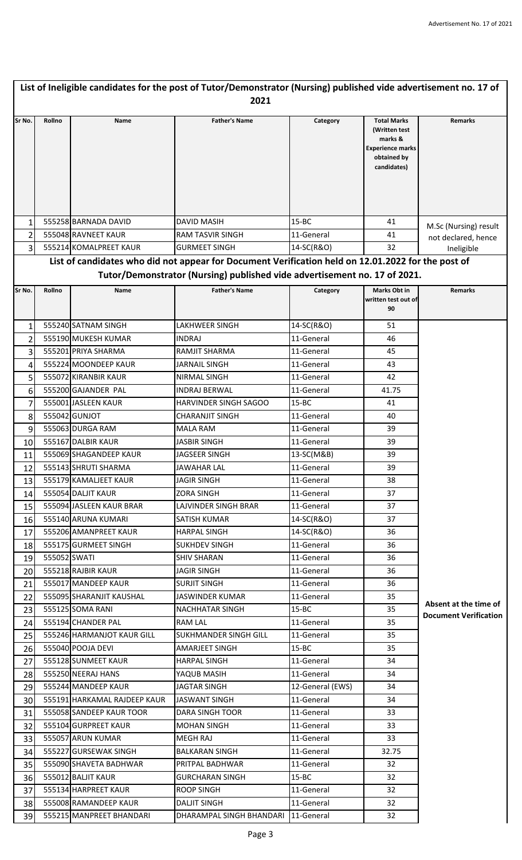| List of Ineligible candidates for the post of Tutor/Demonstrator (Nursing) published vide advertisement no. 17 of<br>2021 |              |                              |                                                                                                                                                                                 |                  |                                                                                                         |                                                       |
|---------------------------------------------------------------------------------------------------------------------------|--------------|------------------------------|---------------------------------------------------------------------------------------------------------------------------------------------------------------------------------|------------------|---------------------------------------------------------------------------------------------------------|-------------------------------------------------------|
| Sr No.                                                                                                                    | Rollno       | Name                         | <b>Father's Name</b>                                                                                                                                                            | Category         | <b>Total Marks</b><br>(Written test<br>marks &<br><b>Experience marks</b><br>obtained by<br>candidates) | <b>Remarks</b>                                        |
|                                                                                                                           |              |                              |                                                                                                                                                                                 |                  |                                                                                                         |                                                       |
| $\mathbf{1}$                                                                                                              |              | 555258 BARNADA DAVID         | <b>DAVID MASIH</b>                                                                                                                                                              | $15 - BC$        | 41                                                                                                      | M.Sc (Nursing) result                                 |
| $\overline{2}$                                                                                                            |              | 555048 RAVNEET KAUR          | <b>RAM TASVIR SINGH</b>                                                                                                                                                         | 11-General       | 41                                                                                                      | not declared, hence                                   |
| 3                                                                                                                         |              | 555214 KOMALPREET KAUR       | <b>GURMEET SINGH</b>                                                                                                                                                            | 14-SC(R&O)       | 32                                                                                                      | Ineligible                                            |
|                                                                                                                           |              |                              | List of candidates who did not appear for Document Verification held on 12.01.2022 for the post of<br>Tutor/Demonstrator (Nursing) published vide advertisement no. 17 of 2021. |                  |                                                                                                         |                                                       |
| Sr No.                                                                                                                    | Rollno       | Name                         | <b>Father's Name</b>                                                                                                                                                            | Category         | <b>Marks Obt in</b>                                                                                     | <b>Remarks</b>                                        |
|                                                                                                                           |              |                              |                                                                                                                                                                                 |                  | written test out of<br>90                                                                               |                                                       |
| $\mathbf{1}$                                                                                                              |              | 555240 SATNAM SINGH          | LAKHWEER SINGH                                                                                                                                                                  | 14-SC(R&O)       | 51                                                                                                      |                                                       |
| $\overline{2}$                                                                                                            |              | 555190 MUKESH KUMAR          | <b>INDRAJ</b>                                                                                                                                                                   | 11-General       | 46                                                                                                      |                                                       |
| 3                                                                                                                         |              | 555201 PRIYA SHARMA          | RAMJIT SHARMA                                                                                                                                                                   | 11-General       | 45                                                                                                      |                                                       |
| 4                                                                                                                         |              | 555224 MOONDEEP KAUR         | <b>JARNAIL SINGH</b>                                                                                                                                                            | 11-General       | 43                                                                                                      |                                                       |
| 5                                                                                                                         |              | 555072 KIRANBIR KAUR         | NIRMAL SINGH                                                                                                                                                                    | 11-General       | 42                                                                                                      |                                                       |
| 6                                                                                                                         |              | 555200 GAJANDER PAL          | <b>INDRAJ BERWAL</b>                                                                                                                                                            | 11-General       | 41.75                                                                                                   |                                                       |
| $\overline{7}$                                                                                                            |              | 555001 JASLEEN KAUR          | HARVINDER SINGH SAGOO                                                                                                                                                           | $15 - BC$        | 41                                                                                                      |                                                       |
| 8                                                                                                                         |              | 555042 GUNJOT                | <b>CHARANJIT SINGH</b>                                                                                                                                                          | 11-General       | 40                                                                                                      |                                                       |
| 9                                                                                                                         |              | 555063 DURGA RAM             | <b>MALA RAM</b>                                                                                                                                                                 | 11-General       | 39                                                                                                      |                                                       |
| 10                                                                                                                        |              | 555167 DALBIR KAUR           | <b>JASBIR SINGH</b>                                                                                                                                                             | 11-General       | 39                                                                                                      |                                                       |
| 11                                                                                                                        |              | 555069 SHAGANDEEP KAUR       | <b>JAGSEER SINGH</b>                                                                                                                                                            | 13-SC(M&B)       | 39                                                                                                      |                                                       |
| 12                                                                                                                        |              | 555143 SHRUTI SHARMA         | <b>JAWAHAR LAL</b>                                                                                                                                                              | 11-General       | 39                                                                                                      |                                                       |
| 13                                                                                                                        |              | 555179 KAMALJEET KAUR        | <b>JAGIR SINGH</b>                                                                                                                                                              | 11-General       | 38                                                                                                      |                                                       |
| 14                                                                                                                        |              | 555054 DALJIT KAUR           | ZORA SINGH                                                                                                                                                                      | 11-General       | 37                                                                                                      |                                                       |
| 15                                                                                                                        |              | 555094 JASLEEN KAUR BRAR     | LAJVINDER SINGH BRAR                                                                                                                                                            | 11-General       | 37                                                                                                      |                                                       |
| 16                                                                                                                        |              | 555140 ARUNA KUMARI          | <b>SATISH KUMAR</b>                                                                                                                                                             | 14-SC(R&O)       | 37                                                                                                      |                                                       |
| 17                                                                                                                        |              | 555206 AMANPREET KAUR        | <b>HARPAL SINGH</b>                                                                                                                                                             | 14-SC(R&O)       | 36                                                                                                      |                                                       |
| 18                                                                                                                        |              | 555175 GURMEET SINGH         | <b>SUKHDEV SINGH</b>                                                                                                                                                            | 11-General       | 36                                                                                                      |                                                       |
| 19                                                                                                                        | 555052 SWATI |                              | <b>SHIV SHARAN</b>                                                                                                                                                              | 11-General       | 36                                                                                                      |                                                       |
| 20                                                                                                                        |              | 555218 RAJBIR KAUR           | JAGIR SINGH                                                                                                                                                                     | 11-General       | 36                                                                                                      |                                                       |
| 21                                                                                                                        |              | 555017 MANDEEP KAUR          | <b>SURJIT SINGH</b>                                                                                                                                                             | 11-General       | 36                                                                                                      |                                                       |
| 22                                                                                                                        |              | 555095 SHARANJIT KAUSHAL     | <b>JASWINDER KUMAR</b>                                                                                                                                                          | 11-General       | 35                                                                                                      |                                                       |
| 23                                                                                                                        |              | 555125 SOMA RANI             | <b>NACHHATAR SINGH</b>                                                                                                                                                          | $15 - BC$        | 35                                                                                                      | Absent at the time of<br><b>Document Verification</b> |
| 24                                                                                                                        |              | 555194 CHANDER PAL           | RAM LAL                                                                                                                                                                         | 11-General       | 35                                                                                                      |                                                       |
| 25                                                                                                                        |              | 555246 HARMANJOT KAUR GILL   | <b>SUKHMANDER SINGH GILL</b>                                                                                                                                                    | 11-General       | 35                                                                                                      |                                                       |
| 26                                                                                                                        |              | 555040 POOJA DEVI            | AMARJEET SINGH                                                                                                                                                                  | $15 - BC$        | 35                                                                                                      |                                                       |
| 27                                                                                                                        |              | 555128 SUNMEET KAUR          | <b>HARPAL SINGH</b>                                                                                                                                                             | 11-General       | 34                                                                                                      |                                                       |
| 28                                                                                                                        |              | 555250 NEERAJ HANS           | YAQUB MASIH                                                                                                                                                                     | 11-General       | 34                                                                                                      |                                                       |
| 29                                                                                                                        |              | 555244 MANDEEP KAUR          | <b>JAGTAR SINGH</b>                                                                                                                                                             | 12-General (EWS) | 34                                                                                                      |                                                       |
| 30                                                                                                                        |              | 555191 HARKAMAL RAJDEEP KAUR | JASWANT SINGH                                                                                                                                                                   | 11-General       | 34                                                                                                      |                                                       |
| 31                                                                                                                        |              | 555058 SANDEEP KAUR TOOR     | DARA SINGH TOOR                                                                                                                                                                 | 11-General       | 33                                                                                                      |                                                       |
| 32                                                                                                                        |              | 555104 GURPREET KAUR         | <b>MOHAN SINGH</b>                                                                                                                                                              | 11-General       | 33                                                                                                      |                                                       |
| 33                                                                                                                        |              | 555057 ARUN KUMAR            | MEGH RAJ                                                                                                                                                                        | 11-General       | 33                                                                                                      |                                                       |
| 34                                                                                                                        |              | 555227 GURSEWAK SINGH        | <b>BALKARAN SINGH</b>                                                                                                                                                           | 11-General       | 32.75                                                                                                   |                                                       |
| 35                                                                                                                        |              | 555090 SHAVETA BADHWAR       | PRITPAL BADHWAR                                                                                                                                                                 | 11-General       | 32                                                                                                      |                                                       |
| 36                                                                                                                        |              | 555012 BALJIT KAUR           | <b>GURCHARAN SINGH</b>                                                                                                                                                          | $15 - BC$        | 32                                                                                                      |                                                       |
| 37                                                                                                                        |              | 555134 HARPREET KAUR         | <b>ROOP SINGH</b>                                                                                                                                                               | 11-General       | 32                                                                                                      |                                                       |
| 38                                                                                                                        |              | 555008 RAMANDEEP KAUR        | <b>DALJIT SINGH</b>                                                                                                                                                             | 11-General       | 32                                                                                                      |                                                       |
| 39                                                                                                                        |              | 555215 MANPREET BHANDARI     | DHARAMPAL SINGH BHANDARI                                                                                                                                                        | 11-General       | 32                                                                                                      |                                                       |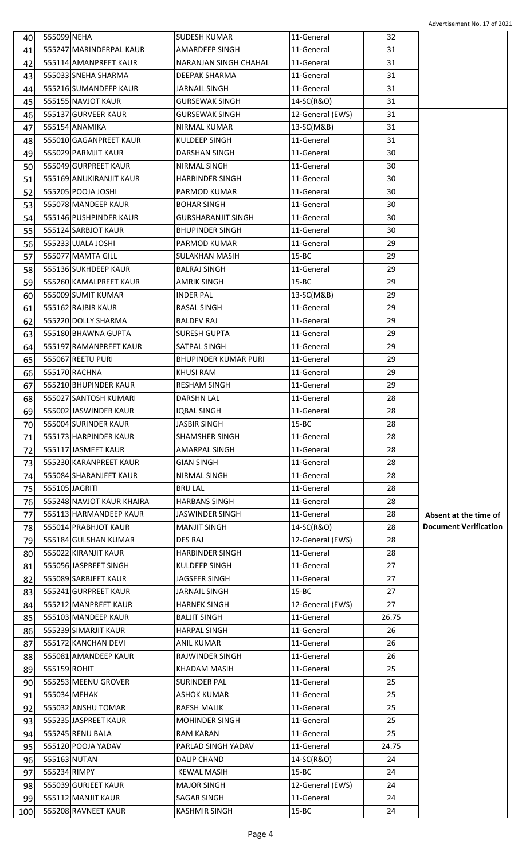| 40 | 555099 NEHA  |                           | <b>SUDESH KUMAR</b>                       | 11-General       | 32    |                              |
|----|--------------|---------------------------|-------------------------------------------|------------------|-------|------------------------------|
| 41 |              | 555247 MARINDERPAL KAUR   | <b>AMARDEEP SINGH</b>                     | 11-General       | 31    |                              |
| 42 |              | 555114 AMANPREET KAUR     | <b>NARANJAN SINGH CHAHAL</b>              | 11-General       | 31    |                              |
| 43 |              | 555033 SNEHA SHARMA       | <b>DEEPAK SHARMA</b>                      | 11-General       | 31    |                              |
| 44 |              | 555216 SUMANDEEP KAUR     | JARNAIL SINGH                             | 11-General       | 31    |                              |
| 45 |              | 555155 NAVJOT KAUR        | <b>GURSEWAK SINGH</b>                     | 14-SC(R&O)       | 31    |                              |
| 46 |              | 555137 GURVEER KAUR       | <b>GURSEWAK SINGH</b>                     | 12-General (EWS) | 31    |                              |
| 47 |              | 555154 ANAMIKA            | NIRMAL KUMAR                              | 13-SC(M&B)       | 31    |                              |
| 48 |              | 555010 GAGANPREET KAUR    | KULDEEP SINGH                             | 11-General       | 31    |                              |
| 49 |              | 555029 PARMJIT KAUR       | <b>DARSHAN SINGH</b>                      | 11-General       | 30    |                              |
| 50 |              | 555049 GURPREET KAUR      | NIRMAL SINGH                              | 11-General       | 30    |                              |
| 51 |              | 555169 ANUKIRANJIT KAUR   | <b>HARBINDER SINGH</b>                    | 11-General       | 30    |                              |
| 52 |              | 555205 POOJA JOSHI        | PARMOD KUMAR                              | 11-General       | 30    |                              |
| 53 |              | 555078 MANDEEP KAUR       | <b>BOHAR SINGH</b>                        | 11-General       | 30    |                              |
| 54 |              | 555146 PUSHPINDER KAUR    | <b>GURSHARANJIT SINGH</b>                 | 11-General       | 30    |                              |
| 55 |              | 555124 SARBJOT KAUR       | <b>BHUPINDER SINGH</b>                    | 11-General       | 30    |                              |
| 56 |              | 555233 UJALA JOSHI        | PARMOD KUMAR                              | 11-General       | 29    |                              |
| 57 |              | 555077 MAMTA GILL         | <b>SULAKHAN MASIH</b>                     | $15 - BC$        | 29    |                              |
| 58 |              | 555136 SUKHDEEP KAUR      | <b>BALRAJ SINGH</b>                       | 11-General       | 29    |                              |
| 59 |              | 555260 KAMALPREET KAUR    | <b>AMRIK SINGH</b>                        | $15 - BC$        | 29    |                              |
| 60 |              | 555009 SUMIT KUMAR        | <b>INDER PAL</b>                          | 13-SC(M&B)       | 29    |                              |
| 61 |              | 555162 RAJBIR KAUR        | RASAL SINGH                               | 11-General       | 29    |                              |
| 62 |              | 555220 DOLLY SHARMA       | <b>BALDEV RAJ</b>                         | 11-General       | 29    |                              |
| 63 |              | 555180 BHAWNA GUPTA       | <b>SURESH GUPTA</b>                       | 11-General       | 29    |                              |
| 64 |              | 555197 RAMANPREET KAUR    | <b>SATPAL SINGH</b>                       | 11-General       | 29    |                              |
|    |              | 555067 REETU PURI         | <b>BHUPINDER KUMAR PURI</b>               | 11-General       | 29    |                              |
| 65 |              | 555170 RACHNA             | <b>KHUSI RAM</b>                          | 11-General       | 29    |                              |
| 66 |              | 555210 BHUPINDER KAUR     | <b>RESHAM SINGH</b>                       | 11-General       | 29    |                              |
| 67 |              | 555027 SANTOSH KUMARI     |                                           |                  |       |                              |
| 68 |              | 555002 JASWINDER KAUR     | <b>DARSHN LAL</b>                         | 11-General       | 28    |                              |
| 69 |              | 555004 SURINDER KAUR      | <b>IOBAL SINGH</b><br><b>JASBIR SINGH</b> | 11-General       | 28    |                              |
| 70 |              |                           |                                           | $15 - BC$        | 28    |                              |
| 71 |              | 555173 HARPINDER KAUR     | <b>SHAMSHER SINGH</b>                     | 11-General       | 28    |                              |
| 72 |              | 555117 JASMEET KAUR       | AMARPAL SINGH                             | 11-General       | 28    |                              |
| 73 |              | 555230 KARANPREET KAUR    | <b>GIAN SINGH</b>                         | 11-General       | 28    |                              |
| 74 |              | 555084 SHARANJEET KAUR    | NIRMAL SINGH                              | 11-General       | 28    |                              |
| 75 |              | 555105 JAGRITI            | <b>BRIJ LAL</b>                           | 11-General       | 28    |                              |
| 76 |              | 555248 NAVJOT KAUR KHAIRA | <b>HARBANS SINGH</b>                      | 11-General       | 28    |                              |
| 77 |              | 555113 HARMANDEEP KAUR    | <b>JASWINDER SINGH</b>                    | 11-General       | 28    | Absent at the time of        |
| 78 |              | 555014 PRABHJOT KAUR      | <b>MANJIT SINGH</b>                       | 14-SC(R&O)       | 28    | <b>Document Verification</b> |
| 79 |              | 555184 GULSHAN KUMAR      | DES RAJ                                   | 12-General (EWS) | 28    |                              |
| 80 |              | 555022 KIRANJIT KAUR      | <b>HARBINDER SINGH</b>                    | 11-General       | 28    |                              |
| 81 |              | 555056 JASPREET SINGH     | KULDEEP SINGH                             | 11-General       | 27    |                              |
| 82 |              | 555089 SARBJEET KAUR      | <b>JAGSEER SINGH</b>                      | 11-General       | 27    |                              |
| 83 |              | 555241 GURPREET KAUR      | <b>JARNAIL SINGH</b>                      | $15 - BC$        | 27    |                              |
| 84 |              | 555212 MANPREET KAUR      | <b>HARNEK SINGH</b>                       | 12-General (EWS) | 27    |                              |
| 85 |              | 555103 MANDEEP KAUR       | <b>BALJIT SINGH</b>                       | 11-General       | 26.75 |                              |
| 86 |              | 555239 SIMARJIT KAUR      | <b>HARPAL SINGH</b>                       | 11-General       | 26    |                              |
| 87 |              | 555172 KANCHAN DEVI       | <b>ANIL KUMAR</b>                         | 11-General       | 26    |                              |
| 88 |              | 555081 AMANDEEP KAUR      | RAJWINDER SINGH                           | 11-General       | 26    |                              |
| 89 | 555159 ROHIT |                           | KHADAM MASIH                              | 11-General       | 25    |                              |
| 90 |              | 555253 MEENU GROVER       | <b>SURINDER PAL</b>                       | 11-General       | 25    |                              |
| 91 |              | 555034 MEHAK              | ASHOK KUMAR                               | 11-General       | 25    |                              |
| 92 |              | 555032 ANSHU TOMAR        | RAESH MALIK                               | 11-General       | 25    |                              |
| 93 |              | 555235 JASPREET KAUR      | <b>MOHINDER SINGH</b>                     | 11-General       | 25    |                              |
| 94 |              | 555245 RENU BALA          | RAM KARAN                                 | 11-General       | 25    |                              |
| 95 |              | 555120 POOJA YADAV        | PARLAD SINGH YADAV                        | 11-General       | 24.75 |                              |
|    |              |                           |                                           |                  |       |                              |
| 96 |              | 555163 NUTAN              | DALIP CHAND                               | 14-SC(R&O)       | 24    |                              |
| 97 |              | 555234 RIMPY              | <b>KEWAL MASIH</b>                        | $15 - BC$        | 24    |                              |
| 98 |              | 555039 GURJEET KAUR       | <b>MAJOR SINGH</b>                        | 12-General (EWS) | 24    |                              |
| 99 |              | 555112 MANJIT KAUR        | SAGAR SINGH                               | 11-General       | 24    |                              |